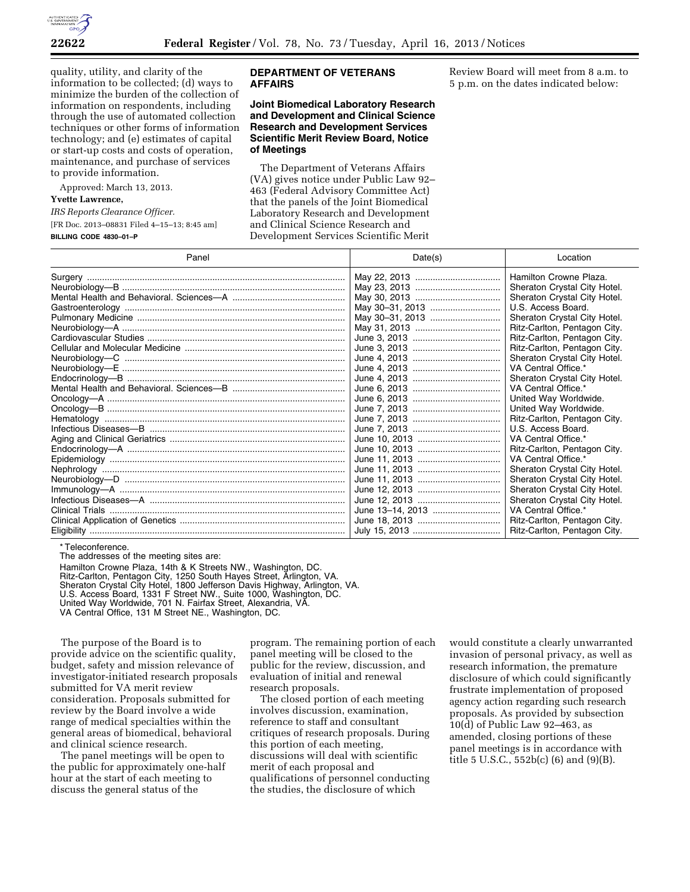

quality, utility, and clarity of the information to be collected; (d) ways to minimize the burden of the collection of information on respondents, including through the use of automated collection techniques or other forms of information technology; and (e) estimates of capital or start-up costs and costs of operation, maintenance, and purchase of services to provide information.

Approved: March 13, 2013.

## **Yvette Lawrence,**

*IRS Reports Clearance Officer.* 

[FR Doc. 2013–08831 Filed 4–15–13; 8:45 am] **BILLING CODE 4830–01–P** 

## **DEPARTMENT OF VETERANS AFFAIRS**

## **Joint Biomedical Laboratory Research and Development and Clinical Science Research and Development Services Scientific Merit Review Board, Notice of Meetings**

The Department of Veterans Affairs (VA) gives notice under Public Law 92– 463 (Federal Advisory Committee Act) that the panels of the Joint Biomedical Laboratory Research and Development and Clinical Science Research and Development Services Scientific Merit

Review Board will meet from 8 a.m. to 5 p.m. on the dates indicated below:

| Panel | Date(s)          | Location                     |
|-------|------------------|------------------------------|
|       |                  | Hamilton Crowne Plaza.       |
|       |                  | Sheraton Crystal City Hotel. |
|       |                  | Sheraton Crystal City Hotel. |
|       | May 30-31, 2013  | U.S. Access Board.           |
|       | May 30-31, 2013  | Sheraton Crystal City Hotel. |
|       |                  | Ritz-Carlton, Pentagon City. |
|       |                  | Ritz-Carlton, Pentagon City. |
|       |                  | Ritz-Carlton, Pentagon City. |
|       |                  | Sheraton Crystal City Hotel. |
|       |                  | VA Central Office.*          |
|       |                  | Sheraton Crystal City Hotel. |
|       |                  | VA Central Office.*          |
|       |                  | United Way Worldwide.        |
|       |                  | United Way Worldwide.        |
|       |                  | Ritz-Carlton, Pentagon City. |
|       |                  | U.S. Access Board.           |
|       |                  | VA Central Office.*          |
|       |                  | Ritz-Carlton, Pentagon City. |
|       |                  | VA Central Office.*          |
|       |                  | Sheraton Crystal City Hotel. |
|       |                  | Sheraton Crystal City Hotel. |
|       |                  | Sheraton Crystal City Hotel. |
|       |                  | Sheraton Crystal City Hotel. |
|       | June 13–14, 2013 | VA Central Office.*          |
|       |                  | Ritz-Carlton, Pentagon City. |
|       |                  | Ritz-Carlton, Pentagon City. |

\* Teleconference.

The addresses of the meeting sites are:

Hamilton Crowne Plaza, 14th & K Streets NW., Washington, DC.

- Ritz-Carlton, Pentagon City, 1250 South Hayes Street, Arlington, VA.
- Sheraton Crystal City Hotel, 1800 Jefferson Davis Highway, Arlington, VA.
- U.S. Access Board, 1331 F Street NW., Suite 1000, Washington, DC.

United Way Worldwide, 701 N. Fairfax Street, Alexandria, VA.

VA Central Office, 131 M Street NE., Washington, DC.

The purpose of the Board is to provide advice on the scientific quality, budget, safety and mission relevance of investigator-initiated research proposals submitted for VA merit review consideration. Proposals submitted for review by the Board involve a wide range of medical specialties within the general areas of biomedical, behavioral and clinical science research.

The panel meetings will be open to the public for approximately one-half hour at the start of each meeting to discuss the general status of the

program. The remaining portion of each panel meeting will be closed to the public for the review, discussion, and evaluation of initial and renewal research proposals.

The closed portion of each meeting involves discussion, examination, reference to staff and consultant critiques of research proposals. During this portion of each meeting, discussions will deal with scientific merit of each proposal and qualifications of personnel conducting the studies, the disclosure of which

would constitute a clearly unwarranted invasion of personal privacy, as well as research information, the premature disclosure of which could significantly frustrate implementation of proposed agency action regarding such research proposals. As provided by subsection 10(d) of Public Law 92–463, as amended, closing portions of these panel meetings is in accordance with title 5 U.S.C., 552b(c) (6) and (9)(B).